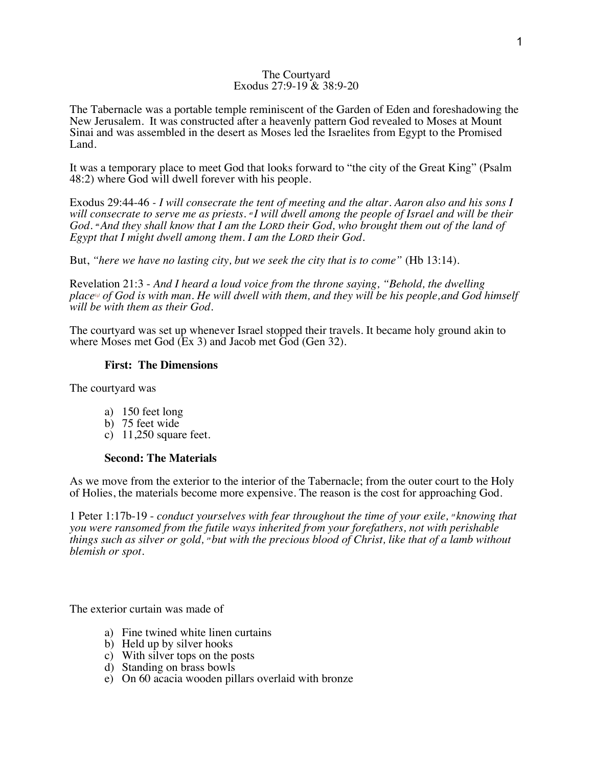#### The Courtyard Exodus 27:9-19 & 38:9-20

The Tabernacle was a portable temple reminiscent of the Garden of Eden and foreshadowing the New Jerusalem. It was constructed after a heavenly pattern God revealed to Moses at Mount Sinai and was assembled in the desert as Moses led the Israelites from Egypt to the Promised Land.

It was a temporary place to meet God that looks forward to "the city of the Great King" (Psalm 48:2) where God will dwell forever with his people.

Exodus 29:44-46 *- I will consecrate the tent of meeting and the altar. Aaron also and his sons I will consecrate to serve me as priests. <sup>45</sup> I will dwell among the people of Israel and will be their God. <sup>46</sup>And they shall know that I am the LORD their God, who brought them out of the land of Egypt that I might dwell among them. I am the LORD their God.*

But, *"here we have no lasting city, but we seek the city that is to come"* (Hb 13:14).

Revelation 21:3 - *And I heard a loud voice from the throne saying, "Behold, the dwelling place[a] of God is with man. He will dwell with them, and they will be his people,and God himself will be with them as their God.*

The courtyard was set up whenever Israel stopped their travels. It became holy ground akin to where Moses met God (Ex 3) and Jacob met God (Gen 32).

# **First: The Dimensions**

The courtyard was

- a) 150 feet long
- b) 75 feet wide
- c) 11,250 square feet.

## **Second: The Materials**

As we move from the exterior to the interior of the Tabernacle; from the outer court to the Holy of Holies, the materials become more expensive. The reason is the cost for approaching God.

1 Peter 1:17b-19 - *conduct yourselves with fear throughout the time of your exile, <sup>18</sup> knowing that you were ransomed from the futile ways inherited from your forefathers, not with perishable things such as silver or gold, <sup>19</sup> but with the precious blood of Christ, like that of a lamb without blemish or spot.*

The exterior curtain was made of

- a) Fine twined white linen curtains
- b) Held up by silver hooks
- c) With silver tops on the posts
- d) Standing on brass bowls
- e) On 60 acacia wooden pillars overlaid with bronze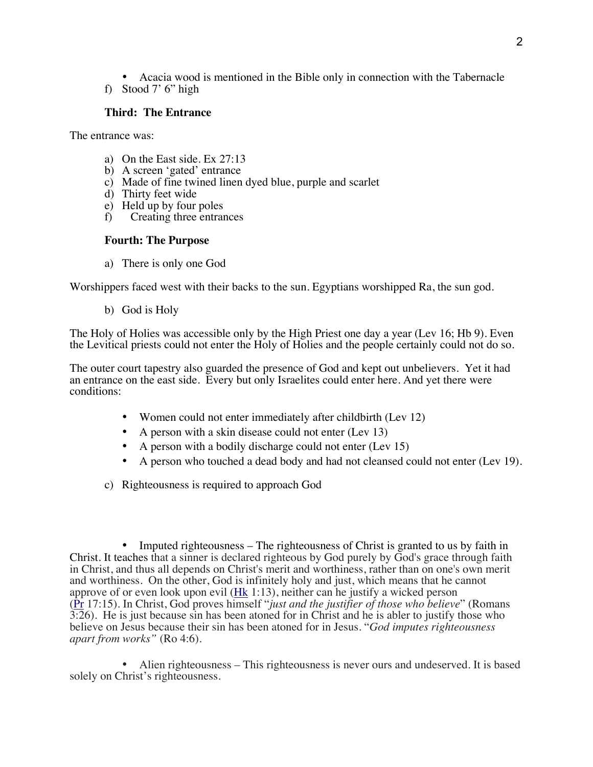• Acacia wood is mentioned in the Bible only in connection with the Tabernacle f) Stood 7' 6" high

## **Third: The Entrance**

The entrance was:

- a) On the East side. Ex 27:13
- b) A screen 'gated' entrance
- c) Made of fine twined linen dyed blue, purple and scarlet
- d) Thirty feet wide
- e) Held up by four poles
- f) Creating three entrances

# **Fourth: The Purpose**

a) There is only one God

Worshippers faced west with their backs to the sun. Egyptians worshipped Ra, the sun god.

b) God is Holy

The Holy of Holies was accessible only by the High Priest one day a year (Lev 16; Hb 9). Even the Levitical priests could not enter the Holy of Holies and the people certainly could not do so.

The outer court tapestry also guarded the presence of God and kept out unbelievers. Yet it had an entrance on the east side. Every but only Israelites could enter here. And yet there were conditions:

- Women could not enter immediately after childbirth (Lev 12)
- A person with a skin disease could not enter (Lev 13)
- A person with a bodily discharge could not enter (Lev 15)
- A person who touched a dead body and had not cleansed could not enter (Lev 19).
- c) Righteousness is required to approach God

• Imputed righteousness – The righteousness of Christ is granted to us by faith in Christ. It teaches that a sinner is declared righteous by God purely by God's grace through faith in Christ, and thus all depends on Christ's merit and worthiness, rather than on one's own merit and worthiness. On the other, God is infinitely holy and just, which means that he cannot approve of or even look upon evil (Hk 1:13), neither can he justify a wicked person (Pr 17:15). In Christ, God proves himself "*just and the justifier of those who believe*" (Romans 3:26). He is just because sin has been atoned for in Christ and he is abler to justify those who believe on Jesus because their sin has been atoned for in Jesus. "*God imputes righteousness apart from works"* (Ro 4:6).

• Alien righteousness – This righteousness is never ours and undeserved. It is based solely on Christ's righteousness.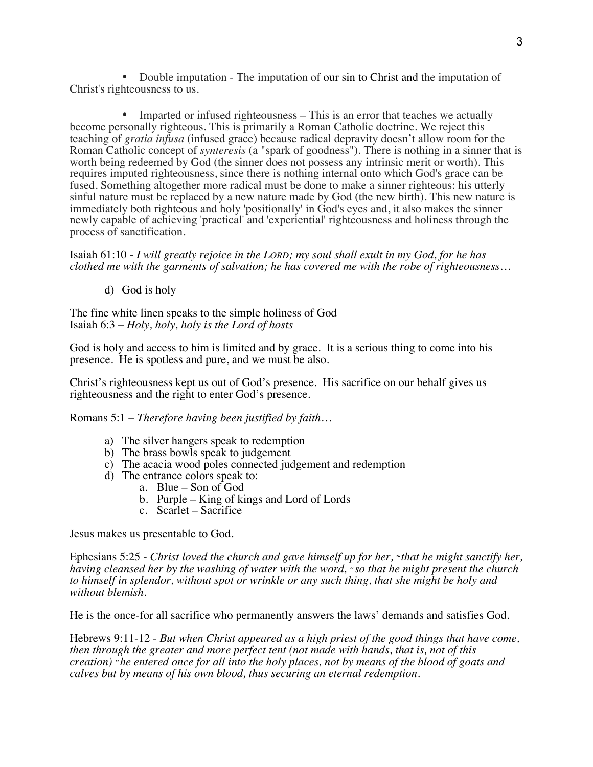• Double imputation - The imputation of our sin to Christ and the imputation of Christ's righteousness to us.

Imparted or infused righteousness – This is an error that teaches we actually become personally righteous. This is primarily a Roman Catholic doctrine. We reject this teaching of *gratia infusa* (infused grace) because radical depravity doesn't allow room for the Roman Catholic concept of *synteresis* (a "spark of goodness"). There is nothing in a sinner that is worth being redeemed by God (the sinner does not possess any intrinsic merit or worth). This requires imputed righteousness, since there is nothing internal onto which God's grace can be fused. Something altogether more radical must be done to make a sinner righteous: his utterly sinful nature must be replaced by a new nature made by God (the new birth). This new nature is immediately both righteous and holy 'positionally' in God's eyes and, it also makes the sinner newly capable of achieving 'practical' and 'experiential' righteousness and holiness through the process of sanctification.

Isaiah 61:10 - *I will greatly rejoice in the LORD; my soul shall exult in my God, for he has clothed me with the garments of salvation; he has covered me with the robe of righteousness…*

d) God is holy

The fine white linen speaks to the simple holiness of God Isaiah 6:3 – *Holy, holy, holy is the Lord of hosts*

God is holy and access to him is limited and by grace. It is a serious thing to come into his presence. He is spotless and pure, and we must be also.

Christ's righteousness kept us out of God's presence. His sacrifice on our behalf gives us righteousness and the right to enter God's presence.

Romans 5:1 – *Therefore having been justified by faith…*

- a) The silver hangers speak to redemption
- b) The brass bowls speak to judgement
- c) The acacia wood poles connected judgement and redemption
- d) The entrance colors speak to:
	- a. Blue Son of God
		- b. Purple King of kings and Lord of Lords
	- c. Scarlet Sacrifice

Jesus makes us presentable to God.

Ephesians 5:25 - *Christ loved the church and gave himself up for her, \*that he might sanctify her, having cleansed her by the washing of water with the word, <sup>27</sup> so that he might present the church to himself in splendor, without spot or wrinkle or any such thing, that she might be holy and without blemish.*

He is the once-for all sacrifice who permanently answers the laws' demands and satisfies God.

Hebrews 9:11-12 - *But when Christ appeared as a high priest of the good things that have come, then through the greater and more perfect tent (not made with hands, that is, not of this creation) <sup>12</sup> he entered once for all into the holy places, not by means of the blood of goats and calves but by means of his own blood, thus securing an eternal redemption.*